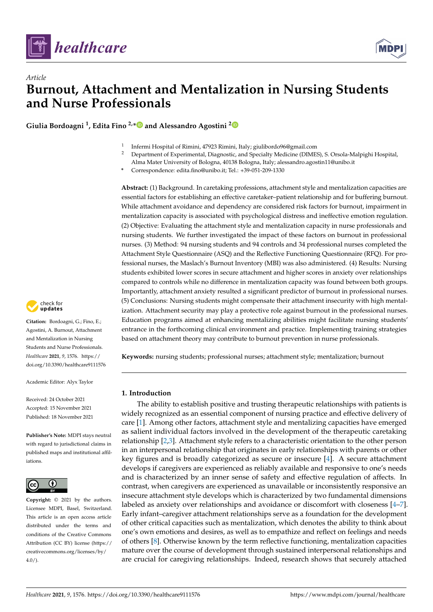

*Article*



# **Burnout, Attachment and Mentalization in Nursing Students and Nurse Professionals**

**Giulia Bordoagni <sup>1</sup> , Edita Fino 2,[\\*](https://orcid.org/0000-0001-8904-9086) and Alessandro Agostini [2](https://orcid.org/0000-0002-3156-9967)**

- 1 Infermi Hospital of Rimini, 47923 Rimini, Italy; giulibordo96@gmail.com
- <sup>2</sup> Department of Experimental, Diagnostic, and Specialty Medicine (DIMES), S. Orsola-Malpighi Hospital, Alma Mater University of Bologna, 40138 Bologna, Italy; alessandro.agostin11@unibo.it
- **\*** Correspondence: edita.fino@unibo.it; Tel.: +39-051-209-1330

**Abstract:** (1) Background. In caretaking professions, attachment style and mentalization capacities are essential factors for establishing an effective caretaker–patient relationship and for buffering burnout. While attachment avoidance and dependency are considered risk factors for burnout, impairment in mentalization capacity is associated with psychological distress and ineffective emotion regulation. (2) Objective: Evaluating the attachment style and mentalization capacity in nurse professionals and nursing students. We further investigated the impact of these factors on burnout in professional nurses. (3) Method: 94 nursing students and 94 controls and 34 professional nurses completed the Attachment Style Questionnaire (ASQ) and the Reflective Functioning Questionnaire (RFQ). For professional nurses, the Maslach's Burnout Inventory (MBI) was also administered. (4) Results: Nursing students exhibited lower scores in secure attachment and higher scores in anxiety over relationships compared to controls while no difference in mentalization capacity was found between both groups. Importantly, attachment anxiety resulted a significant predictor of burnout in professional nurses. (5) Conclusions: Nursing students might compensate their attachment insecurity with high mentalization. Attachment security may play a protective role against burnout in the professional nurses. Education programs aimed at enhancing mentalizing abilities might facilitate nursing students' entrance in the forthcoming clinical environment and practice. Implementing training strategies based on attachment theory may contribute to burnout prevention in nurse professionals.

**Keywords:** nursing students; professional nurses; attachment style; mentalization; burnout

# **1. Introduction**

The ability to establish positive and trusting therapeutic relationships with patients is widely recognized as an essential component of nursing practice and effective delivery of care [\[1\]](#page-5-0). Among other factors, attachment style and mentalizing capacities have emerged as salient individual factors involved in the development of the therapeutic caretaking relationship [\[2,](#page-5-1)[3\]](#page-5-2). Attachment style refers to a characteristic orientation to the other person in an interpersonal relationship that originates in early relationships with parents or other key figures and is broadly categorized as secure or insecure [\[4\]](#page-5-3). A secure attachment develops if caregivers are experienced as reliably available and responsive to one's needs and is characterized by an inner sense of safety and effective regulation of affects. In contrast, when caregivers are experienced as unavailable or inconsistently responsive an insecure attachment style develops which is characterized by two fundamental dimensions labeled as anxiety over relationships and avoidance or discomfort with closeness [\[4](#page-5-3)[–7\]](#page-6-0). Early infant–caregiver attachment relationships serve as a foundation for the development of other critical capacities such as mentalization, which denotes the ability to think about one's own emotions and desires, as well as to empathize and reflect on feelings and needs of others [\[8\]](#page-6-1). Otherwise known by the term reflective functioning, mentalization capacities mature over the course of development through sustained interpersonal relationships and are crucial for caregiving relationships. Indeed, research shows that securely attached



**Citation:** Bordoagni, G.; Fino, E.; Agostini, A. Burnout, Attachment and Mentalization in Nursing Students and Nurse Professionals. *Healthcare* **2021**, *9*, 1576. [https://](https://doi.org/10.3390/healthcare9111576) [doi.org/10.3390/healthcare9111576](https://doi.org/10.3390/healthcare9111576)

Academic Editor: Alyx Taylor

Received: 24 October 2021 Accepted: 15 November 2021 Published: 18 November 2021

**Publisher's Note:** MDPI stays neutral with regard to jurisdictional claims in published maps and institutional affiliations.



**Copyright:** © 2021 by the authors. Licensee MDPI, Basel, Switzerland. This article is an open access article distributed under the terms and conditions of the Creative Commons Attribution (CC BY) license (https:/[/](https://creativecommons.org/licenses/by/4.0/) [creativecommons.org/licenses/by/](https://creativecommons.org/licenses/by/4.0/)  $4.0/$ ).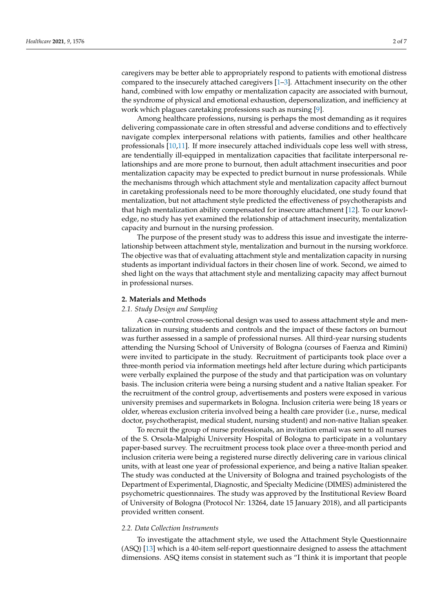caregivers may be better able to appropriately respond to patients with emotional distress compared to the insecurely attached caregivers [\[1–](#page-5-0)[3\]](#page-5-2). Attachment insecurity on the other hand, combined with low empathy or mentalization capacity are associated with burnout, the syndrome of physical and emotional exhaustion, depersonalization, and inefficiency at work which plagues caretaking professions such as nursing [\[9\]](#page-6-2).

Among healthcare professions, nursing is perhaps the most demanding as it requires delivering compassionate care in often stressful and adverse conditions and to effectively navigate complex interpersonal relations with patients, families and other healthcare professionals [\[10](#page-6-3)[,11\]](#page-6-4). If more insecurely attached individuals cope less well with stress, are tendentially ill-equipped in mentalization capacities that facilitate interpersonal relationships and are more prone to burnout, then adult attachment insecurities and poor mentalization capacity may be expected to predict burnout in nurse professionals. While the mechanisms through which attachment style and mentalization capacity affect burnout in caretaking professionals need to be more thoroughly elucidated, one study found that mentalization, but not attachment style predicted the effectiveness of psychotherapists and that high mentalization ability compensated for insecure attachment [\[12\]](#page-6-5). To our knowledge, no study has yet examined the relationship of attachment insecurity, mentalization capacity and burnout in the nursing profession.

The purpose of the present study was to address this issue and investigate the interrelationship between attachment style, mentalization and burnout in the nursing workforce. The objective was that of evaluating attachment style and mentalization capacity in nursing students as important individual factors in their chosen line of work. Second, we aimed to shed light on the ways that attachment style and mentalizing capacity may affect burnout in professional nurses.

#### **2. Materials and Methods**

# *2.1. Study Design and Sampling*

A case–control cross-sectional design was used to assess attachment style and mentalization in nursing students and controls and the impact of these factors on burnout was further assessed in a sample of professional nurses. All third-year nursing students attending the Nursing School of University of Bologna (courses of Faenza and Rimini) were invited to participate in the study. Recruitment of participants took place over a three-month period via information meetings held after lecture during which participants were verbally explained the purpose of the study and that participation was on voluntary basis. The inclusion criteria were being a nursing student and a native Italian speaker. For the recruitment of the control group, advertisements and posters were exposed in various university premises and supermarkets in Bologna. Inclusion criteria were being 18 years or older, whereas exclusion criteria involved being a health care provider (i.e., nurse, medical doctor, psychotherapist, medical student, nursing student) and non-native Italian speaker.

To recruit the group of nurse professionals, an invitation email was sent to all nurses of the S. Orsola-Malpighi University Hospital of Bologna to participate in a voluntary paper-based survey. The recruitment process took place over a three-month period and inclusion criteria were being a registered nurse directly delivering care in various clinical units, with at least one year of professional experience, and being a native Italian speaker. The study was conducted at the University of Bologna and trained psychologists of the Department of Experimental, Diagnostic, and Specialty Medicine (DIMES) administered the psychometric questionnaires. The study was approved by the Institutional Review Board of University of Bologna (Protocol Nr: 13264, date 15 January 2018), and all participants provided written consent.

# *2.2. Data Collection Instruments*

To investigate the attachment style, we used the Attachment Style Questionnaire (ASQ) [\[13\]](#page-6-6) which is a 40-item self-report questionnaire designed to assess the attachment dimensions. ASQ items consist in statement such as "I think it is important that people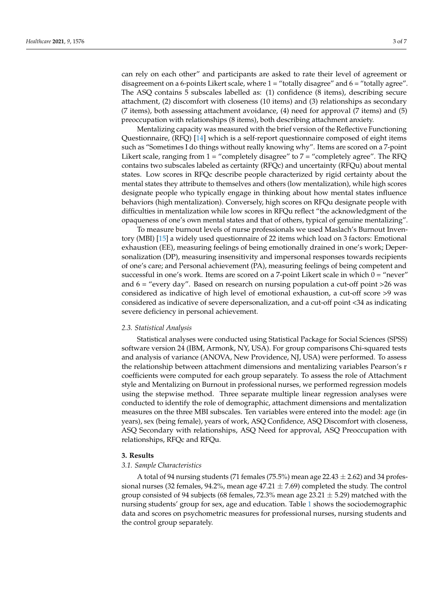can rely on each other" and participants are asked to rate their level of agreement or disagreement on a 6-points Likert scale, where  $1 =$  "totally disagree" and  $6 =$  "totally agree". The ASQ contains 5 subscales labelled as: (1) confidence (8 items), describing secure attachment, (2) discomfort with closeness (10 items) and (3) relationships as secondary  $(7 \text{ items})$ , both assessing attachment avoidance,  $(4)$  need for approval  $(7 \text{ items})$  and  $(5)$ preoccupation with relationships (8 items), both describing attachment anxiety.

Mentalizing capacity was measured with the brief version of the Reflective Functioning Questionnaire, (RFQ) [\[14\]](#page-6-7) which is a self-report questionnaire composed of eight items such as "Sometimes I do things without really knowing why". Items are scored on a 7-point Likert scale, ranging from  $1 =$  "completely disagree" to  $7 =$  "completely agree". The RFQ contains two subscales labeled as certainty (RFQc) and uncertainty (RFQu) about mental states. Low scores in RFQc describe people characterized by rigid certainty about the mental states they attribute to themselves and others (low mentalization), while high scores designate people who typically engage in thinking about how mental states influence behaviors (high mentalization). Conversely, high scores on RFQu designate people with difficulties in mentalization while low scores in RFQu reflect "the acknowledgment of the opaqueness of one's own mental states and that of others, typical of genuine mentalizing".

To measure burnout levels of nurse professionals we used Maslach's Burnout Inventory (MBI) [\[15\]](#page-6-8) a widely used questionnaire of 22 items which load on 3 factors: Emotional exhaustion (EE), measuring feelings of being emotionally drained in one's work; Depersonalization (DP), measuring insensitivity and impersonal responses towards recipients of one's care; and Personal achievement (PA), measuring feelings of being competent and successful in one's work. Items are scored on a 7-point Likert scale in which  $0 =$  "never" and  $6 =$  "every day". Based on research on nursing population a cut-off point  $>26$  was considered as indicative of high level of emotional exhaustion, a cut-off score >9 was considered as indicative of severe depersonalization, and a cut-off point <34 as indicating severe deficiency in personal achievement.

#### *2.3. Statistical Analysis*

Statistical analyses were conducted using Statistical Package for Social Sciences (SPSS) software version 24 (IBM, Armonk, NY, USA). For group comparisons Chi-squared tests and analysis of variance (ANOVA, New Providence, NJ, USA) were performed. To assess the relationship between attachment dimensions and mentalizing variables Pearson's r coefficients were computed for each group separately. To assess the role of Attachment style and Mentalizing on Burnout in professional nurses, we performed regression models using the stepwise method. Three separate multiple linear regression analyses were conducted to identify the role of demographic, attachment dimensions and mentalization measures on the three MBI subscales. Ten variables were entered into the model: age (in years), sex (being female), years of work, ASQ Confidence, ASQ Discomfort with closeness, ASQ Secondary with relationships, ASQ Need for approval, ASQ Preoccupation with relationships, RFQc and RFQu.

### **3. Results**

## *3.1. Sample Characteristics*

A total of 94 nursing students (71 females (75.5%) mean age  $22.43 \pm 2.62$ ) and 34 professional nurses (32 females, 94.2%, mean age  $47.21 \pm 7.69$ ) completed the study. The control group consisted of 94 subjects (68 females, 72.3% mean age 23.21  $\pm$  5.29) matched with the nursing students' group for sex, age and education. Table [1](#page-3-0) shows the sociodemographic data and scores on psychometric measures for professional nurses, nursing students and the control group separately.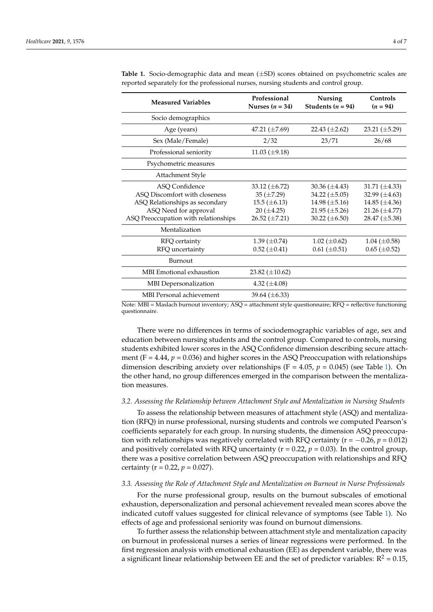| <b>Measured Variables</b>                                                                                                                                                                               | Professional<br>Nurses $(n = 34)$                                                                                                                 | <b>Nursing</b><br>Students ( $n = 94$ )                                                                                                                  | Controls<br>$(n = 94)$                                                                                                                                   |
|---------------------------------------------------------------------------------------------------------------------------------------------------------------------------------------------------------|---------------------------------------------------------------------------------------------------------------------------------------------------|----------------------------------------------------------------------------------------------------------------------------------------------------------|----------------------------------------------------------------------------------------------------------------------------------------------------------|
| Socio demographics                                                                                                                                                                                      |                                                                                                                                                   |                                                                                                                                                          |                                                                                                                                                          |
| Age (years)                                                                                                                                                                                             | 47.21 $(\pm 7.69)$                                                                                                                                | 22.43 $(\pm 2.62)$                                                                                                                                       | $23.21 \ (\pm 5.29)$                                                                                                                                     |
| Sex (Male/Female)                                                                                                                                                                                       | 2/32                                                                                                                                              | 23/71                                                                                                                                                    | 26/68                                                                                                                                                    |
| Professional seniority                                                                                                                                                                                  | 11.03 $(\pm 9.18)$                                                                                                                                |                                                                                                                                                          |                                                                                                                                                          |
| Psychometric measures                                                                                                                                                                                   |                                                                                                                                                   |                                                                                                                                                          |                                                                                                                                                          |
| Attachment Style                                                                                                                                                                                        |                                                                                                                                                   |                                                                                                                                                          |                                                                                                                                                          |
| ASO Confidence<br>ASQ Discomfort with closeness<br>ASQ Relationships as secondary<br>ASQ Need for approval<br>ASQ Preoccupation with relationships<br>Mentalization<br>RFQ certainty<br>RFQ uncertainty | 33.12 $(\pm 6.72)$<br>$35 (\pm 7.29)$<br>$15.5 \ (\pm 6.13)$<br>$20 (\pm 4.25)$<br>26.52 $(\pm 7.21)$<br>1.39 $(\pm 0.74)$<br>$0.52 \ (\pm 0.41)$ | 30.36 $(\pm 4.43)$<br>34.22 $(\pm 5.05)$<br>14.98 $(\pm 5.16)$<br>$21.95 \ (\pm 5.26)$<br>30.22 $(\pm 6.50)$<br>$1.02 \ (\pm 0.62)$<br>$0.61 (\pm 0.51)$ | 31.71 $(\pm 4.33)$<br>32.99 $(\pm 4.63)$<br>14.85 $(\pm 4.36)$<br>21.26 $(\pm 4.77)$<br>28.47 $(\pm 5.38)$<br>$1.04 \ (\pm 0.58)$<br>$0.65 \ (\pm 0.52)$ |
| Burnout                                                                                                                                                                                                 |                                                                                                                                                   |                                                                                                                                                          |                                                                                                                                                          |
| MBI Emotional exhaustion                                                                                                                                                                                | 23.82 $(\pm 10.62)$                                                                                                                               |                                                                                                                                                          |                                                                                                                                                          |
| <b>MBI</b> Depersonalization                                                                                                                                                                            | 4.32 $(\pm 4.08)$                                                                                                                                 |                                                                                                                                                          |                                                                                                                                                          |
| <b>MBI</b> Personal achievement                                                                                                                                                                         | 39.64 $(\pm 6.33)$                                                                                                                                |                                                                                                                                                          |                                                                                                                                                          |

<span id="page-3-0"></span>**Table 1.** Socio-demographic data and mean (±SD) scores obtained on psychometric scales are reported separately for the professional nurses, nursing students and control group.

Note: MBI = Maslach burnout inventory; ASQ = attachment style questionnaire; RFQ = reflective functioning questionnaire.

There were no differences in terms of sociodemographic variables of age, sex and education between nursing students and the control group. Compared to controls, nursing students exhibited lower scores in the ASQ Confidence dimension describing secure attachment ( $F = 4.44$ ,  $p = 0.036$ ) and higher scores in the ASQ Preoccupation with relationships dimension describing anxiety over relationships (F = 4.05, *p* = 0.045) (see Table [1\)](#page-3-0). On the other hand, no group differences emerged in the comparison between the mentalization measures.

#### *3.2. Assessing the Relationship between Attachment Style and Mentalization in Nursing Students*

To assess the relationship between measures of attachment style (ASQ) and mentalization (RFQ) in nurse professional, nursing students and controls we computed Pearson's coefficients separately for each group. In nursing students, the dimension ASQ preoccupation with relationships was negatively correlated with RFQ certainty ( $r = -0.26$ ,  $p = 0.012$ ) and positively correlated with RFQ uncertainty  $(r = 0.22, p = 0.03)$ . In the control group, there was a positive correlation between ASQ preoccupation with relationships and RFQ certainty ( $r = 0.22$ ,  $p = 0.027$ ).

### *3.3. Assessing the Role of Attachment Style and Mentalization on Burnout in Nurse Professionals*

For the nurse professional group, results on the burnout subscales of emotional exhaustion, depersonalization and personal achievement revealed mean scores above the indicated cutoff values suggested for clinical relevance of symptoms (see Table [1\)](#page-3-0). No effects of age and professional seniority was found on burnout dimensions.

To further assess the relationship between attachment style and mentalization capacity on burnout in professional nurses a series of linear regressions were performed. In the first regression analysis with emotional exhaustion (EE) as dependent variable, there was a significant linear relationship between EE and the set of predictor variables:  $R^2 = 0.15$ ,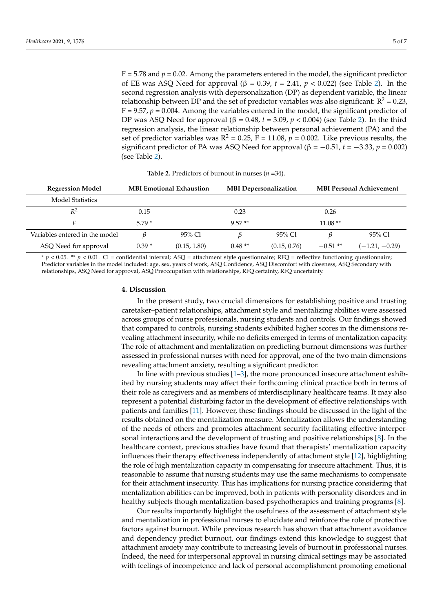$F = 5.78$  and  $p = 0.02$ . Among the parameters entered in the model, the significant predictor of EE was ASQ Need for approval (β = 0.39,  $t = 2.41$ ,  $p < 0.022$ ) (see Table [2\)](#page-4-0). In the second regression analysis with depersonalization (DP) as dependent variable, the linear relationship between DP and the set of predictor variables was also significant:  $R^2 = 0.23$ ,  $F = 9.57$ ,  $p = 0.004$ . Among the variables entered in the model, the significant predictor of DP was ASQ Need for approval (β = 0.48, *t* = 3.09, *p* < 0.004) (see Table [2\)](#page-4-0). In the third regression analysis, the linear relationship between personal achievement (PA) and the set of predictor variables was  $R^2 = 0.25$ ,  $F = 11.08$ ,  $p = 0.002$ . Like previous results, the significant predictor of PA was ASQ Need for approval ( $\beta = -0.51$ ,  $t = -3.33$ ,  $p = 0.002$ ) (see Table [2\)](#page-4-0).

<span id="page-4-0"></span>

| <b>Regression Model</b>        | <b>MBI Emotional Exhaustion</b> |              | <b>MBI</b> Depersonalization |              | <b>MBI Personal Achievement</b> |                  |
|--------------------------------|---------------------------------|--------------|------------------------------|--------------|---------------------------------|------------------|
| <b>Model Statistics</b>        |                                 |              |                              |              |                                 |                  |
| $R^2$                          | 0.15                            |              | 0.23                         |              | 0.26                            |                  |
|                                | $5.79*$                         |              | $9.57**$                     |              | $11.08**$                       |                  |
| Variables entered in the model |                                 | 95% Cl       |                              | 95% Cl       |                                 | 95% Cl           |
| ASQ Need for approval          | $0.39*$                         | (0.15, 1.80) | $0.48**$                     | (0.15, 0.76) | $-0.51**$                       | $(-1.21, -0.29)$ |

**Table 2.** Predictors of burnout in nurses (*n* =34).

\* *p* < 0.05. \*\* *p* < 0.01. Cl = confidential interval; ASQ = attachment style questionnaire; RFQ = reflective functioning questionnaire; Predictor variables in the model included: age, sex, years of work, ASQ Confidence, ASQ Discomfort with closeness, ASQ Secondary with relationships, ASQ Need for approval, ASQ Preoccupation with relationships, RFQ certainty, RFQ uncertainty.

#### **4. Discussion**

In the present study, two crucial dimensions for establishing positive and trusting caretaker–patient relationships, attachment style and mentalizing abilities were assessed across groups of nurse professionals, nursing students and controls. Our findings showed that compared to controls, nursing students exhibited higher scores in the dimensions revealing attachment insecurity, while no deficits emerged in terms of mentalization capacity. The role of attachment and mentalization on predicting burnout dimensions was further assessed in professional nurses with need for approval, one of the two main dimensions revealing attachment anxiety, resulting a significant predictor.

In line with previous studies  $[1-3]$  $[1-3]$ , the more pronounced insecure attachment exhibited by nursing students may affect their forthcoming clinical practice both in terms of their role as caregivers and as members of interdisciplinary healthcare teams. It may also represent a potential disturbing factor in the development of effective relationships with patients and families [\[11\]](#page-6-4). However, these findings should be discussed in the light of the results obtained on the mentalization measure. Mentalization allows the understanding of the needs of others and promotes attachment security facilitating effective interpersonal interactions and the development of trusting and positive relationships [\[8\]](#page-6-1). In the healthcare context, previous studies have found that therapists' mentalization capacity influences their therapy effectiveness independently of attachment style [\[12\]](#page-6-5), highlighting the role of high mentalization capacity in compensating for insecure attachment. Thus, it is reasonable to assume that nursing students may use the same mechanisms to compensate for their attachment insecurity. This has implications for nursing practice considering that mentalization abilities can be improved, both in patients with personality disorders and in healthy subjects though mentalization-based psychotherapies and training programs [\[8\]](#page-6-1).

Our results importantly highlight the usefulness of the assessment of attachment style and mentalization in professional nurses to elucidate and reinforce the role of protective factors against burnout. While previous research has shown that attachment avoidance and dependency predict burnout, our findings extend this knowledge to suggest that attachment anxiety may contribute to increasing levels of burnout in professional nurses. Indeed, the need for interpersonal approval in nursing clinical settings may be associated with feelings of incompetence and lack of personal accomplishment promoting emotional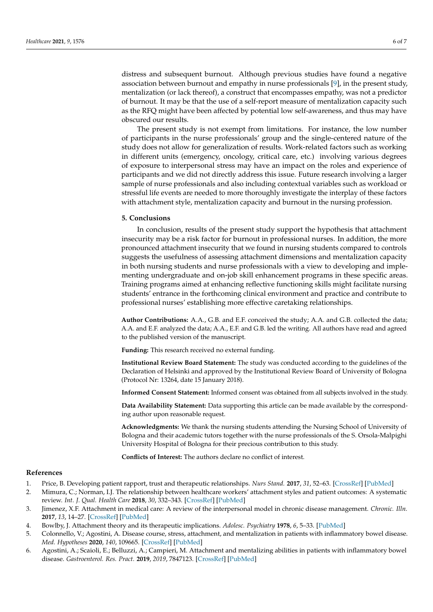distress and subsequent burnout. Although previous studies have found a negative association between burnout and empathy in nurse professionals [\[9\]](#page-6-2), in the present study, mentalization (or lack thereof), a construct that encompasses empathy, was not a predictor of burnout. It may be that the use of a self-report measure of mentalization capacity such as the RFQ might have been affected by potential low self-awareness, and thus may have obscured our results.

The present study is not exempt from limitations. For instance, the low number of participants in the nurse professionals' group and the single-centered nature of the study does not allow for generalization of results. Work-related factors such as working in different units (emergency, oncology, critical care, etc.) involving various degrees of exposure to interpersonal stress may have an impact on the roles and experience of participants and we did not directly address this issue. Future research involving a larger sample of nurse professionals and also including contextual variables such as workload or stressful life events are needed to more thoroughly investigate the interplay of these factors with attachment style, mentalization capacity and burnout in the nursing profession.

# **5. Conclusions**

In conclusion, results of the present study support the hypothesis that attachment insecurity may be a risk factor for burnout in professional nurses. In addition, the more pronounced attachment insecurity that we found in nursing students compared to controls suggests the usefulness of assessing attachment dimensions and mentalization capacity in both nursing students and nurse professionals with a view to developing and implementing undergraduate and on-job skill enhancement programs in these specific areas. Training programs aimed at enhancing reflective functioning skills might facilitate nursing students' entrance in the forthcoming clinical environment and practice and contribute to professional nurses' establishing more effective caretaking relationships.

**Author Contributions:** A.A., G.B. and E.F. conceived the study; A.A. and G.B. collected the data; A.A. and E.F. analyzed the data; A.A., E.F. and G.B. led the writing. All authors have read and agreed to the published version of the manuscript.

**Funding:** This research received no external funding.

**Institutional Review Board Statement:** The study was conducted according to the guidelines of the Declaration of Helsinki and approved by the Institutional Review Board of University of Bologna (Protocol Nr: 13264, date 15 January 2018).

**Informed Consent Statement:** Informed consent was obtained from all subjects involved in the study.

**Data Availability Statement:** Data supporting this article can be made available by the corresponding author upon reasonable request.

**Acknowledgments:** We thank the nursing students attending the Nursing School of University of Bologna and their academic tutors together with the nurse professionals of the S. Orsola-Malpighi University Hospital of Bologna for their precious contribution to this study.

**Conflicts of Interest:** The authors declare no conflict of interest.

#### **References**

- <span id="page-5-0"></span>1. Price, B. Developing patient rapport, trust and therapeutic relationships. *Nurs Stand.* **2017**, *31*, 52–63. [\[CrossRef\]](http://doi.org/10.7748/ns.2017.e10909) [\[PubMed\]](http://www.ncbi.nlm.nih.gov/pubmed/28792344)
- <span id="page-5-1"></span>2. Mimura, C.; Norman, I.J. The relationship between healthcare workers' attachment styles and patient outcomes: A systematic review. *Int. J. Qual. Health Care* **2018**, *30*, 332–343. [\[CrossRef\]](http://doi.org/10.1093/intqhc/mzy034) [\[PubMed\]](http://www.ncbi.nlm.nih.gov/pubmed/29917160)
- <span id="page-5-2"></span>3. Jimenez, X.F. Attachment in medical care: A review of the interpersonal model in chronic disease management. *Chronic. Illn.* **2017**, *13*, 14–27. [\[CrossRef\]](http://doi.org/10.1177/1742395316653454) [\[PubMed\]](http://www.ncbi.nlm.nih.gov/pubmed/27269506)
- <span id="page-5-3"></span>4. Bowlby, J. Attachment theory and its therapeutic implications. *Adolesc. Psychiatry* **1978**, *6*, 5–33. [\[PubMed\]](http://www.ncbi.nlm.nih.gov/pubmed/742687)
- 5. Colonnello, V.; Agostini, A. Disease course, stress, attachment, and mentalization in patients with inflammatory bowel disease. *Med. Hypotheses* **2020**, *140*, 109665. [\[CrossRef\]](http://doi.org/10.1016/j.mehy.2020.109665) [\[PubMed\]](http://www.ncbi.nlm.nih.gov/pubmed/32155541)
- 6. Agostini, A.; Scaioli, E.; Belluzzi, A.; Campieri, M. Attachment and mentalizing abilities in patients with inflammatory bowel disease. *Gastroenterol. Res. Pract.* **2019**, *2019*, 7847123. [\[CrossRef\]](http://doi.org/10.1155/2019/7847123) [\[PubMed\]](http://www.ncbi.nlm.nih.gov/pubmed/31885546)